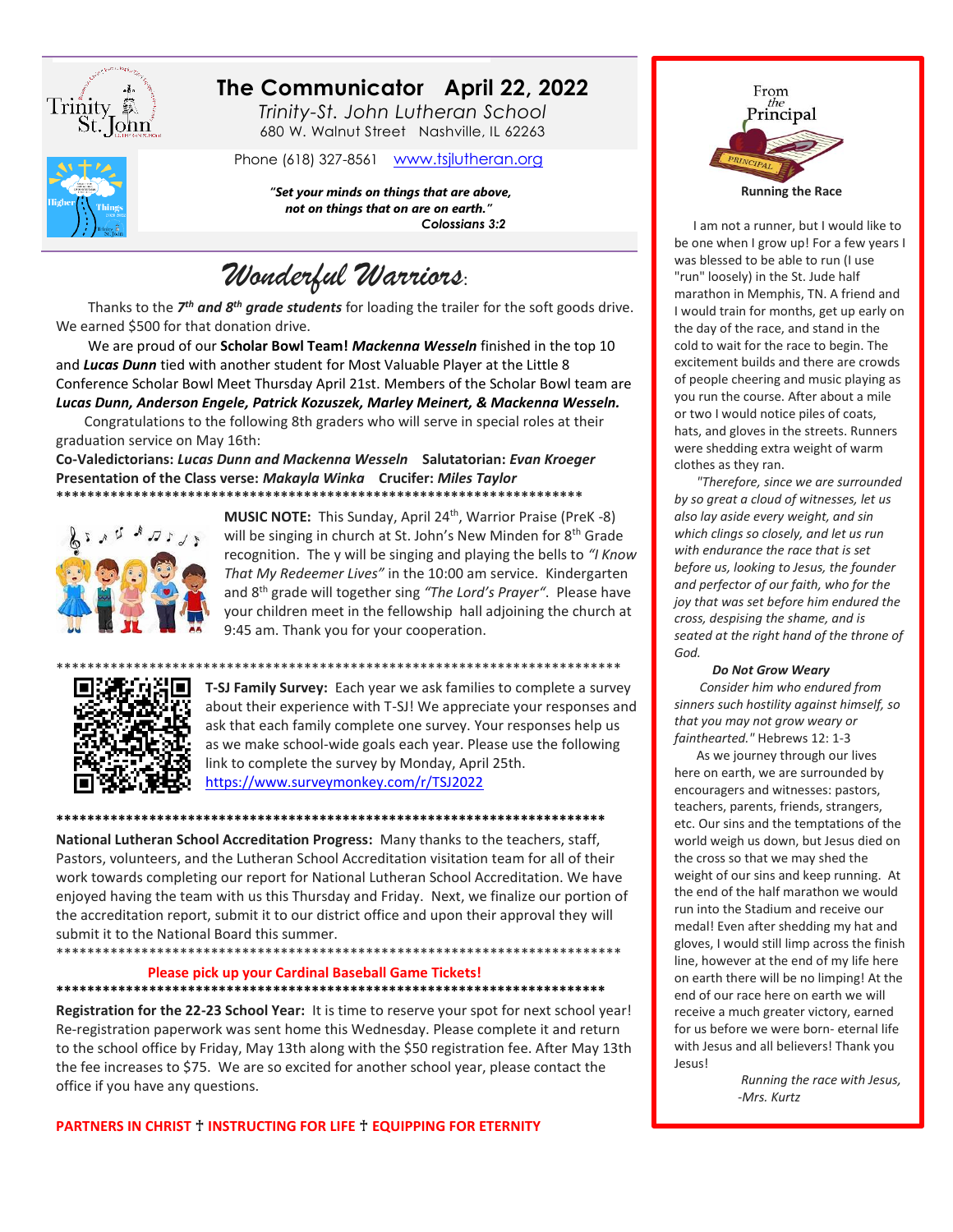

# The Communicator April 22, 2022

Trinity-St. John Lutheran School 680 W. Walnut Street Nashville, IL 62263

Phone (618) 327-8561 www.tsjlutheran.org

"Set your minds on things that are above,

not on things that on are on earth." Colossians 3:2

Wonderful Warriors:

Thanks to the 7<sup>th</sup> and 8<sup>th</sup> grade students for loading the trailer for the soft goods drive. We earned \$500 for that donation drive.

We are proud of our Scholar Bowl Team! Mackenna Wesseln finished in the top 10 and Lucas Dunn tied with another student for Most Valuable Player at the Little 8 Conference Scholar Bowl Meet Thursday April 21st. Members of the Scholar Bowl team are

Lucas Dunn, Anderson Engele, Patrick Kozuszek, Marley Meinert, & Mackenna Wesseln. Congratulations to the following 8th graders who will serve in special roles at their graduation service on May 16th:

Co-Valedictorians: Lucas Dunn and Mackenna Wesseln Salutatorian: Evan Kroeger Presentation of the Class verse: Makayla Winka Crucifer: Miles Taylor 



MUSIC NOTE: This Sunday, April 24<sup>th</sup>, Warrior Praise (PreK-8) will be singing in church at St. John's New Minden for 8th Grade recognition. The y will be singing and playing the bells to "I Know That My Redeemer Lives" in the 10:00 am service. Kindergarten and 8<sup>th</sup> grade will together sing "The Lord's Prayer". Please have your children meet in the fellowship hall adjoining the church at 9:45 am. Thank you for your cooperation.



**T-SJ Family Survey:** Each year we ask families to complete a survey about their experience with T-SJ! We appreciate your responses and ask that each family complete one survey. Your responses help us as we make school-wide goals each year. Please use the following link to complete the survey by Monday, April 25th. https://www.surveymonkey.com/r/TSJ2022

National Lutheran School Accreditation Progress: Many thanks to the teachers, staff, Pastors, volunteers, and the Lutheran School Accreditation visitation team for all of their work towards completing our report for National Lutheran School Accreditation. We have enjoyed having the team with us this Thursday and Friday. Next, we finalize our portion of the accreditation report, submit it to our district office and upon their approval they will submit it to the National Board this summer. 

#### Please pick up your Cardinal Baseball Game Tickets! \*\*\*\*\*\*\*\*\*\*\*\*\*

Registration for the 22-23 School Year: It is time to reserve your spot for next school year! Re-registration paperwork was sent home this Wednesday. Please complete it and return to the school office by Friday, May 13th along with the \$50 registration fee. After May 13th the fee increases to \$75. We are so excited for another school year, please contact the office if you have any questions.

**PARTNERS IN CHRIST † INSTRUCTING FOR LIFE † EQUIPPING FOR ETERNITY** 



I am not a runner, but I would like to be one when I grow up! For a few years I was blessed to be able to run (I use "run" loosely) in the St. Jude half marathon in Memphis, TN. A friend and I would train for months, get up early on the day of the race, and stand in the cold to wait for the race to begin. The excitement builds and there are crowds of people cheering and music playing as you run the course. After about a mile or two I would notice piles of coats, hats, and gloves in the streets. Runners were shedding extra weight of warm clothes as they ran.

"Therefore, since we are surrounded by so great a cloud of witnesses, let us also lay aside every weight, and sin which clings so closely, and let us run with endurance the race that is set before us, looking to Jesus, the founder and perfector of our faith, who for the joy that was set before him endured the cross, despising the shame, and is seated at the right hand of the throne of God.

#### **Do Not Grow Weary**

Consider him who endured from sinners such hostility against himself, so that you may not grow weary or fainthearted." Hebrews 12: 1-3

As we journey through our lives here on earth, we are surrounded by encouragers and witnesses: pastors, teachers, parents, friends, strangers, etc. Our sins and the temptations of the world weigh us down, but Jesus died on the cross so that we may shed the weight of our sins and keep running. At the end of the half marathon we would run into the Stadium and receive our medal! Even after shedding my hat and gloves, I would still limp across the finish line, however at the end of my life here on earth there will be no limping! At the end of our race here on earth we will receive a much greater victory, earned for us before we were born-eternal life with Jesus and all believers! Thank you Jesus!

> Running the race with Jesus, -Mrs. Kurtz